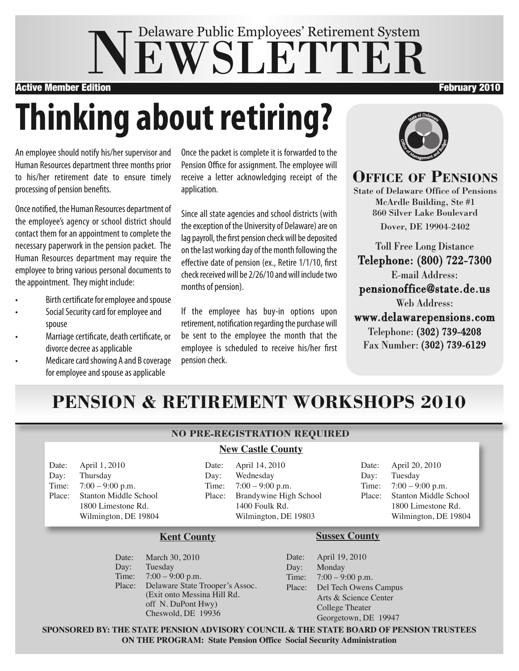# NEWSLETTER Delaware Public Employees' Retirement System

Active Member Edition **February 2010 Active Member Edition** February 2010

# **Thinking about retiring?**

An employee should notify his/her supervisor and Human Resources department three months prior to his/her retirement date to ensure timely processing of pension benefits.

Once notified, the Human Resources department of the employee's agency or school district should contact them for an appointment to complete the necessary paperwork in the pension packet. The Human Resources department may require the employee to bring various personal documents to the appointment. They might include:

- Birth certificate for employee and spouse
- Social Security card for employee and spouse
- Marriage certificate, death certificate, or divorce decree as applicable
- Medicare card showing A and B coverage for employee and spouse as applicable

Once the packet is complete it is forwarded to the Pension Office for assignment. The employee will receive a letter acknowledging receipt of the application.

Since all state agencies and school districts (with the exception of the University of Delaware) are on lag payroll, the first pension check will be deposited on the last working day of the month following the effective date of pension (ex., Retire 1/1/10, first check received will be 2/26/10 and will include two months of pension).

If the employee has buy-in options upon retirement, notification regarding the purchase will be sent to the employee the month that the employee is scheduled to receive his/her first pension check.



**OFFICE OF PENSIONS** State of Delaware Office of Pensions McArdle Building, Ste #1 860 Silver Lake Boulevard Dover, DE 19904-2402

Toll Free Long Distance Telephone: (800) 722-7300 E-mail Address: pensionoffice@state.de.us Web Address: www.delawarepensions.com Telephone: (302) 739-4208 Fax Number: (302) 739-6129

## **PENSION & RETIREMENT WORKSHOPS 2010**

#### **NO PRE-REGISTRATION REQUIRED**

#### **New Castle County**

Date: April 1, 2010 Day: Thursday Time: 7:00 – 9:00 p.m. Place: Stanton Middle School 1800 Limestone Rd. Wilmington, DE 19804 Date: April 14, 2010 Day: Wednesday Time: 7:00 – 9:00 p.m. Place: Brandywine High School 1400 Foulk Rd. Wilmington, DE 19803

Date: April 20, 2010 Day: Tuesday Time: 7:00 – 9:00 p.m. Place: Stanton Middle School 1800 Limestone Rd. Wilmington, DE 19804

#### **Kent County**

Date: March 30, 2010 Day: Tuesday Time: 7:00 – 9:00 p.m. Place: Delaware State Trooper's Assoc. (Exit onto Messina Hill Rd. off N. DuPont Hwy) Cheswold, DE 19936

#### **Sussex County**

Date: April 19, 2010 Day: Monday Time: 7:00 – 9:00 p.m. Place: Del Tech Owens Campus Arts & Science Center College Theater Georgetown, DE 19947

**SPONSORED BY: THE STATE PENSION ADVISORY COUNCIL & THE STATE BOARD OF PENSION TRUSTEES ON THE PROGRAM: State Pension Office Social Security Administration**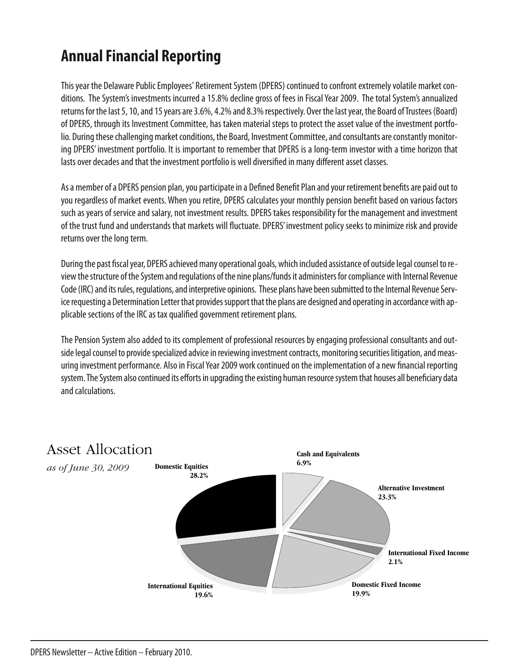## **Annual Financial Reporting**

This year the Delaware Public Employees' Retirement System (DPERS) continued to confront extremely volatile market conditions. The System's investments incurred a 15.8% decline gross of fees in Fiscal Year 2009. The total System's annualized returns for the last 5, 10, and 15 years are 3.6%, 4.2% and 8.3% respectively. Over the last year, the Board of Trustees (Board) of DPERS, through its Investment Committee, has taken material steps to protect the asset value of the investment portfolio. During these challenging market conditions, the Board, Investment Committee, and consultants are constantly monitoring DPERS' investment portfolio. It is important to remember that DPERS is a long-term investor with a time horizon that lasts over decades and that the investment portfolio is well diversified in many different asset classes.

As a member of a DPERS pension plan, you participate in a Defined Benefit Plan and your retirement benefits are paid out to you regardless of market events. When you retire, DPERS calculates your monthly pension benefit based on various factors such as years of service and salary, not investment results. DPERS takes responsibility for the management and investment of the trust fund and understands that markets will fluctuate. DPERS' investment policy seeks to minimize risk and provide returns over the long term.

During the past fiscal year, DPERS achieved many operational goals, which included assistance of outside legal counsel to review the structure of the System and regulations of the nine plans/funds it administers for compliance with Internal Revenue Code (IRC) and its rules, regulations, and interpretive opinions. These plans have been submitted to the Internal Revenue Service requesting a Determination Letter that provides support that the plans are designed and operating in accordance with applicable sections of the IRC as tax qualified government retirement plans.

The Pension System also added to its complement of professional resources by engaging professional consultants and outside legal counsel to provide specialized advice in reviewing investment contracts, monitoring securities litigation, and measuring investment performance. Also in Fiscal Year 2009 work continued on the implementation of a new financial reporting system. The System also continued its efforts in upgrading the existing human resource system that houses all beneficiary data and calculations.

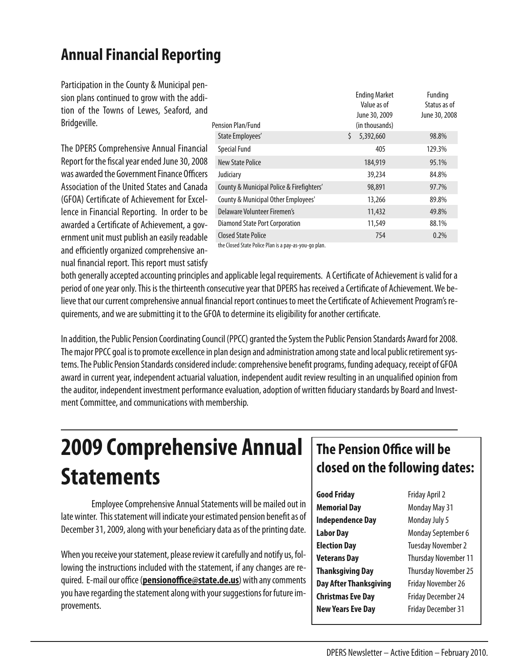## **Annual Financial Reporting**

Participation in the County & Municipal pension plans continued to grow with the addition of the Towns of Lewes, Seaford, and Bridgeville.

The DPERS Comprehensive Annual Financial Report for the fiscal year ended June 30, 2008 was awarded the Government Finance Officers Association of the United States and Canada (GFOA) Certificate of Achievement for Excellence in Financial Reporting. In order to be awarded a Certificate of Achievement, a government unit must publish an easily readable and efficiently organized comprehensive annual financial report. This report must satisfy

|                                                                                     | <b>Ending Market</b><br>Value as of | Funding<br>Status as of |
|-------------------------------------------------------------------------------------|-------------------------------------|-------------------------|
| Pension Plan/Fund                                                                   | June 30, 2009<br>(in thousands)     | June 30, 2008           |
| State Employees'                                                                    | \$<br>5,392,660                     | 98.8%                   |
| Special Fund                                                                        | 405                                 | 129.3%                  |
| New State Police                                                                    | 184,919                             | 95.1%                   |
| Judiciary                                                                           | 39,234                              | 84.8%                   |
| County & Municipal Police & Firefighters'                                           | 98,891                              | 97.7%                   |
| County & Municipal Other Employees'                                                 | 13,266                              | 89.8%                   |
| Delaware Volunteer Firemen's                                                        | 11,432                              | 49.8%                   |
| Diamond State Port Corporation                                                      | 11,549                              | 88.1%                   |
| <b>Closed State Police</b><br>the Closed State Police Plan is a pay-as-you-go plan. | 754                                 | 0.2%                    |

both generally accepted accounting principles and applicable legal requirements. A Certificate of Achievement is valid for a period of one year only. This is the thirteenth consecutive year that DPERS has received a Certificate of Achievement. We believe that our current comprehensive annual financial report continues to meet the Certificate of Achievement Program's re-

quirements, and we are submitting it to the GFOA to determine its eligibility for another certificate.

In addition, the Public Pension Coordinating Council (PPCC) granted the System the Public Pension Standards Award for 2008. The major PPCC goal is to promote excellence in plan design and administration among state and local public retirement systems. The Public Pension Standards considered include: comprehensive benefit programs, funding adequacy, receipt of GFOA award in current year, independent actuarial valuation, independent audit review resulting in an unqualified opinion from the auditor, independent investment performance evaluation, adoption of written fiduciary standards by Board and Investment Committee, and communications with membership.

## **2009 Comprehensive Annual Statements**

Employee Comprehensive Annual Statements will be mailed out in late winter. This statement will indicate your estimated pension benefit as of December 31, 2009, along with your beneficiary data as of the printing date.

When you receive your statement, please review it carefully and notify us, following the instructions included with the statement, if any changes are required. E-mail our office (pensionoffice@state.de.us) with any comments you have regarding the statement along with your suggestions for future improvements.

## The Pension Office will be closed on the following dates:

| Good Friday              | Friday April 2            |  |
|--------------------------|---------------------------|--|
| <b>Memorial Day</b>      | Monday May 31             |  |
| <b>Independence Day</b>  | Monday July 5             |  |
| Labor Day                | Monday September 6        |  |
| <b>Election Day</b>      | <b>Tuesday November 2</b> |  |
| Veterans Day             | Thursday November 1       |  |
| <b>Thanksgiving Day</b>  | Thursday November 2       |  |
| Day After Thanksgiving   | Friday November 26        |  |
| Christmas Eve Day        | Friday December 24        |  |
| <b>New Years Eve Day</b> | <b>Friday December 31</b> |  |
|                          |                           |  |

6

11

 $25$